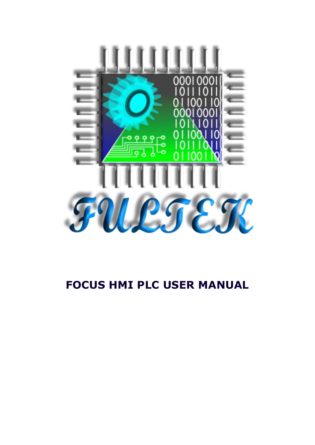

# **FOCUS HMI PLC USER MANUAL**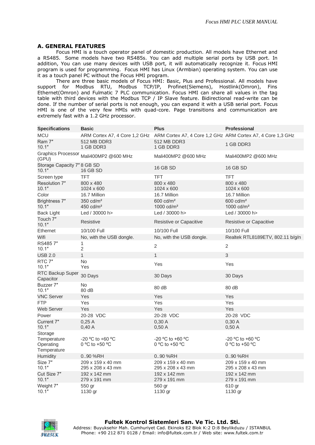#### **A. GENERAL FEATURES**

Focus HMI is a touch operator panel of domestic production. All models have Ethernet and a RS485. Some models have two RS485s. You can add multiple serial ports by USB port. In addition, You can use many devices with USB port, it will automatically recognize it. Focus [HMI](https://www.fultek.com.tr/en/hmi-software/)  [program](https://www.fultek.com.tr/en/hmi-software/) is used for programming. Focus HMI has Linux (Armbian) operating system. You can use it as a touch panel PC without the Focus HMI program.

There are three basic models of Focus HMI: Basic, Plus and Professional. All models have support for Modbus RTU, Modbus TCP/IP, Profinet(Siemens), Hostlink(Omron), Fins Ethernet(Omron) and Fulmatic 7 PLC communication. Focus HMI can share all values in the tag table with third devices with the Modbus TCP / IP Slave feature. Bidirectional read-write can be done. If the number of serial ports is not enough, you can expand it with a USB serial port. Focus HMI is one of the very few HMIs with quad-core. Page transitions and communication are extremely fast with a 1.2 GHz processor.

| <b>Specifications</b>                              | <b>Basic</b>                                                                              | <b>Plus</b>                            | <b>Professional</b>                            |
|----------------------------------------------------|-------------------------------------------------------------------------------------------|----------------------------------------|------------------------------------------------|
| <b>MCU</b>                                         | ARM Cortex A7, 4 Core 1,2 GHz ARM Cortex A7, 4 Core 1,2 GHz ARM Cortex A7, 4 Core 1,3 GHz |                                        |                                                |
| Ram 7"<br>10.1"                                    | 512 MB DDR3<br>1 GB DDR3                                                                  | 512 MB DDR3<br>1 GB DDR3               | 1 GB DDR3                                      |
| <b>Graphics Processor</b><br>(GPU)                 | Mali400MP2 @600 MHz                                                                       | Mali400MP2 @600 MHz                    | Mali400MP2 @600 MHz                            |
| Storage Capacity 7" 8 GB SD<br>10.1"               | 16 GB SD                                                                                  | 16 GB SD                               | 16 GB SD                                       |
| Screen type                                        | TFT                                                                                       | <b>TFT</b>                             | <b>TFT</b>                                     |
| Resolution 7"<br>10.1"                             | 800 x 480<br>1024 x 600                                                                   | 800 x 480<br>1024 x 600                | 800 x 480<br>1024 x 600                        |
| Color                                              | 16.7 Million                                                                              | 16.7 Million                           | 16.7 Million                                   |
| Brightness 7"<br>10.1"                             | $350 \text{ cd/m}^2$<br>450 cd/m <sup>2</sup>                                             | $600 \text{ cd/m}^2$<br>1000 $cd/m2$   | $600 \text{ cd/m}^2$<br>1000 cd/m <sup>2</sup> |
| <b>Back Light</b>                                  | Led / 30000 h>                                                                            | Led / 30000 h>                         | Led / 30000 h>                                 |
| Touch 7"<br>10.1"                                  | Resistive                                                                                 | Resistive or Capacitive                | Resistive or Capacitive                        |
| Ethernet                                           | 10/100 Full                                                                               | 10/100 Full                            | 10/100 Full                                    |
| Wifi                                               | No, with the USB dongle.                                                                  | No, with the USB dongle.               | Realtek RTL8189ETV, 802.11 b/g/n               |
| RS4857"<br>10.1"                                   | 1<br>$\overline{2}$                                                                       | $\overline{2}$                         | $\overline{2}$                                 |
| <b>USB 2.0</b>                                     | $\mathbf{1}$                                                                              | $\mathbf{1}$                           | 3                                              |
| RTC 7"<br>10.1"                                    | No.<br>Yes                                                                                | Yes                                    | Yes                                            |
| RTC Backup Super<br>Capacitor                      | 30 Days                                                                                   | 30 Days                                | 30 Days                                        |
| Buzzer 7"<br>10.1"                                 | No<br>80 dB                                                                               | 80 dB                                  | 80 dB                                          |
| <b>VNC Server</b>                                  | Yes                                                                                       | Yes                                    | Yes                                            |
| <b>FTP</b>                                         | Yes                                                                                       | Yes                                    | Yes                                            |
| <b>Web Server</b>                                  | Yes                                                                                       | Yes                                    | Yes                                            |
| Power                                              | 20-28 VDC                                                                                 | 20-28 VDC                              | 20-28 VDC                                      |
| Current 7"<br>10.1"                                | 0,25A<br>0,40A                                                                            | 0,30A<br>0,50A                         | 0,30A<br>0,50A                                 |
| Storage<br>Temperature<br>Operating<br>Temperature | $-20$ °C to $+60$ °C<br>0 °C to +50 °C                                                    | $-20$ °C to $+60$ °C<br>0 °C to +50 °C | -20 °C to +60 °C<br>0 °C to +50 °C             |
| <b>Humidity</b>                                    | 090 %RH                                                                                   | 090 %RH                                | 090 %RH                                        |
| Size 7"<br>10.1"                                   | 209 x 159 x 40 mm<br>295 x 208 x 43 mm                                                    | 209 x 159 x 40 mm<br>295 x 208 x 43 mm | 209 x 159 x 40 mm<br>295 x 208 x 43 mm         |
| Cut Size 7"<br>10.1"                               | 192 x 142 mm<br>279 x 191 mm                                                              | 192 x 142 mm<br>279 x 191 mm           | 192 x 142 mm<br>279 x 191 mm                   |
| Weight 7"<br>10.1"                                 | 550 gr<br>1130 gr                                                                         | 560 gr<br>1130 gr                      | 610 gr<br>1130 gr                              |

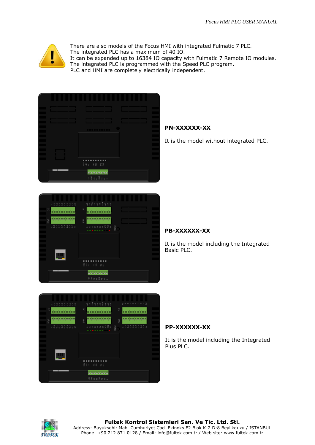

There are also models of the Focus HMI with integrated Fulmatic 7 PLC. The integrated PLC has a maximum of 40 IO. It can be expanded up to 16384 IO capacity with Fulmatic 7 Remote IO modules. The integrated PLC is programmed with the Speed PLC program. PLC and HMI are completely electrically independent.





# **PN-XXXXXX-XX**

It is the model without integrated PLC.

# **PB-XXXXXX-XX**

It is the model including the Integrated Basic PLC.



## **PP-XXXXXX-XX**

It is the model including the Integrated Plus PLC.

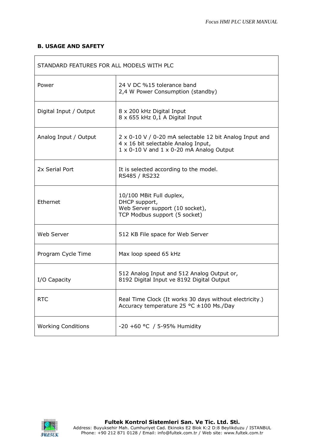$\overline{\phantom{a}}$ 

## **B. USAGE AND SAFETY**

 $\mathsf{r}$ 

| STANDARD FEATURES FOR ALL MODELS WITH PLC |                                                                                                                                                            |  |  |
|-------------------------------------------|------------------------------------------------------------------------------------------------------------------------------------------------------------|--|--|
| Power                                     | 24 V DC %15 tolerance band<br>2,4 W Power Consumption (standby)                                                                                            |  |  |
| Digital Input / Output                    | 8 x 200 kHz Digital Input<br>8 x 655 kHz 0,1 A Digital Input                                                                                               |  |  |
| Analog Input / Output                     | 2 x 0-10 V / 0-20 mA selectable 12 bit Analog Input and<br>4 x 16 bit selectable Analog Input,<br>$1 \times 0$ -10 V and $1 \times 0$ -20 mA Analog Output |  |  |
| 2x Serial Port                            | It is selected according to the model.<br>RS485 / RS232                                                                                                    |  |  |
| Ethernet                                  | 10/100 MBit Full duplex,<br>DHCP support,<br>Web Server support (10 socket),<br>TCP Modbus support (5 socket)                                              |  |  |
| Web Server                                | 512 KB File space for Web Server                                                                                                                           |  |  |
| Program Cycle Time                        | Max loop speed 65 kHz                                                                                                                                      |  |  |
| I/O Capacity                              | 512 Analog Input and 512 Analog Output or,<br>8192 Digital Input ve 8192 Digital Output                                                                    |  |  |
| <b>RTC</b>                                | Real Time Clock (It works 30 days without electricity.)<br>Accuracy temperature 25 °C ±100 Ms./Day                                                         |  |  |
| <b>Working Conditions</b>                 | -20 +60 °C / 5-95% Humidity                                                                                                                                |  |  |

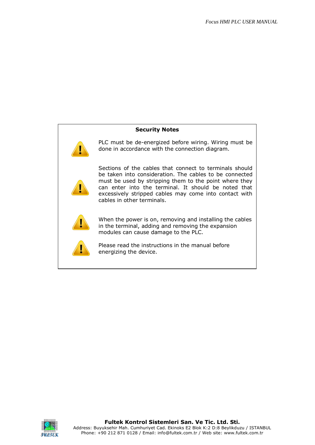

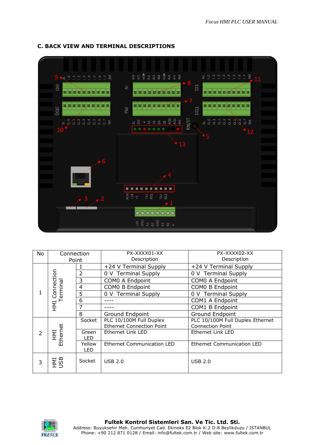

## **C. BACK VIEW AND TERMINAL DESCRIPTIONS**

| No             | Connection<br>Point |                            | PX-XXXX01-XX<br>Description                                 | PX-XXXX02-XX<br>Description                                 |
|----------------|---------------------|----------------------------|-------------------------------------------------------------|-------------------------------------------------------------|
|                |                     | 1                          | +24 V Terminal Supply                                       | +24 V Terminal Supply                                       |
|                | Connection          | $\overline{2}$             | 0 V Terminal Supply                                         | 0 V Terminal Supply                                         |
|                |                     | 3                          | COMO A Endpoint                                             | COMO A Endpoint                                             |
|                | Terminal            | $\overline{4}$             | <b>COMO B Endpoint</b>                                      | COMO B Endpoint                                             |
| 1              |                     | 5                          | 0 V Terminal Supply                                         | 0 V Terminal Supply                                         |
|                |                     | 6                          |                                                             | COM1 A Endpoint                                             |
|                | <b>INH</b>          | 7                          |                                                             | COM1 B Endpoint                                             |
|                |                     | 8                          | <b>Ground Endpoint</b>                                      | <b>Ground Endpoint</b>                                      |
|                |                     | Socket                     | PLC 10/100M Full Duplex<br><b>Ethernet Connection Point</b> | PLC 10/100M Full Duplex Ethernet<br><b>Connection Point</b> |
| $\overline{2}$ | HMI<br>Ethernet     | Green<br>LED               | Ethernet Link LED                                           | Ethernet Link LED                                           |
|                | Yellow<br>LED       | Ethernet Communication LED | <b>Ethernet Communication LED</b>                           |                                                             |
| 3              | <b>ANI</b><br>USD   | Socket                     | <b>USB 2.0</b>                                              | <b>USB 2.0</b>                                              |

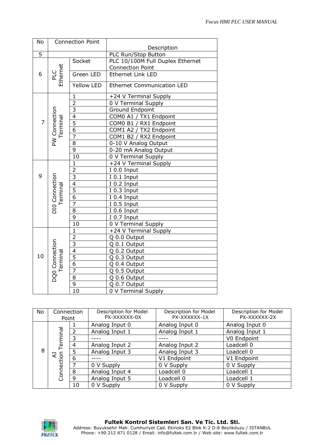| No                              |                            | <b>Connection Point</b> |                                                  |
|---------------------------------|----------------------------|-------------------------|--------------------------------------------------|
|                                 |                            |                         | Description                                      |
| $\overline{5}$                  |                            |                         | PLC Run/Stop Button                              |
|                                 |                            | Socket                  | PLC 10/100M Full Duplex Ethernet                 |
|                                 |                            |                         | <b>Connection Point</b>                          |
| 6                               | PLC<br>Ethernet            | Green LED               | <b>Ethernet Link LED</b>                         |
|                                 |                            | <b>Yellow LED</b>       | <b>Ethernet Communication LED</b>                |
|                                 |                            | $\mathbf{1}$            | +24 V Terminal Supply                            |
|                                 |                            | $\frac{2}{3}$           | 0 V Terminal Supply                              |
|                                 |                            |                         | <b>Ground Endpoint</b>                           |
|                                 |                            | $\overline{4}$          | COM0 A1 / TX1 Endpoint                           |
| $\overline{7}$                  |                            | $\overline{5}$          |                                                  |
|                                 | PW Connection<br>Terminal  | $\overline{6}$          | COMO B1 / RX1 Endpoint<br>COM1 A2 / TX2 Endpoint |
|                                 |                            | $\overline{7}$          | COM1 B2 / RX2 Endpoint                           |
|                                 |                            | $\overline{8}$          | 0-10 V Analog Output                             |
|                                 |                            | $\overline{9}$          | 0-20 mA Analog Output                            |
|                                 |                            | 10                      | 0 V Terminal Supply                              |
|                                 |                            | $\mathbf{1}$            | +24 V Terminal Supply                            |
| 9<br>DIO Connection<br>Terminal |                            | $\overline{2}$          | I 0.0 Input                                      |
|                                 |                            | $\overline{3}$          | I 0.1 Input                                      |
|                                 |                            | $\overline{4}$          | I 0.2 Input                                      |
|                                 |                            | $\frac{5}{6}$           | I 0.3 Input                                      |
|                                 |                            |                         | I 0.4 Input                                      |
|                                 |                            | 7                       | I 0.5 Input                                      |
|                                 |                            | 8                       | $\overline{I}$ 0.6 Input                         |
|                                 |                            | $\overline{9}$          | I 0.7 Input                                      |
|                                 |                            | $\overline{10}$         | 0 V Terminal Supply                              |
|                                 |                            | $\mathbf{1}$            | +24 V Terminal Supply                            |
|                                 |                            | $\frac{2}{3}$           | Q 0.0 Output                                     |
|                                 | DQ0 Connection<br>Terminal |                         | Q 0.1 Output                                     |
| 10                              |                            | $\overline{4}$          | Q 0.2 Output                                     |
|                                 |                            | $\overline{5}$          | $\overline{Q}$ 0.3 Output                        |
|                                 |                            | $\overline{6}$          | Q 0.4 Output                                     |
|                                 |                            | $\overline{7}$          | Q 0.5 Output                                     |
|                                 |                            | $\overline{8}$          | Q 0.6 Output                                     |
|                                 |                            | $\overline{9}$          | Q 0.7 Output                                     |
|                                 |                            | $\overline{10}$         | 0 V Terminal Supply                              |

| No                   | Connection<br>Point |                | Description for Model<br>PX-XXXXXX-0X | Description for Model<br>PX-XXXXXX-1X | Description for Model<br>PX-XXXXXX-2X |
|----------------------|---------------------|----------------|---------------------------------------|---------------------------------------|---------------------------------------|
|                      |                     |                | Analog Input 0                        | Analog Input 0                        | Analog Input 0                        |
|                      | erminal             |                | Analog Input 1                        | Analog Input 1                        | Analog Input 1                        |
|                      |                     |                |                                       |                                       | V0 Endpoint                           |
| 8<br>Ľ<br>Connection | 4                   | Analog Input 2 | Analog Input 2                        | Loadcell 0                            |                                       |
|                      | 5                   | Analog Input 3 | Analog Input 3                        | Loadcell 0                            |                                       |
|                      | 6                   |                | V1 Endpoint                           | V1 Endpoint                           |                                       |
|                      |                     | 0 V Supply     | 0 V Supply                            | 0 V Supply                            |                                       |
|                      | 8                   | Analog Input 4 | Loadcell 0                            | Loadcell 1                            |                                       |
|                      |                     | 9              | Analog Input 5                        | Loadcell 0                            | Loadcell 1                            |
|                      |                     | 10             | 0 V Supply                            | 0 V Supply                            | 0 V Supply                            |

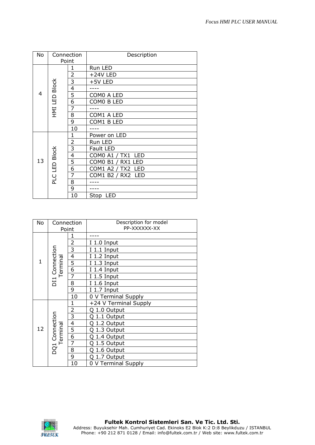| No | Connection    |                         | Description                        |
|----|---------------|-------------------------|------------------------------------|
|    | Point         |                         |                                    |
|    |               | 1                       | Run LED                            |
|    |               | $\overline{2}$          | +24V LED                           |
|    |               | 3                       | +5V LED                            |
|    | HMI LED Block | $\overline{\mathbf{4}}$ |                                    |
| 4  |               | 5                       | COMO A LED                         |
|    |               | 6                       | COMO B LED                         |
|    |               | $\overline{7}$          |                                    |
|    |               | 8                       | COM1 A LED                         |
|    |               | 9                       | COM1 B LED                         |
|    |               | 10                      |                                    |
|    |               | 1                       | Power on LED                       |
|    |               | $\overline{2}$          | Run LED                            |
| 13 |               | $\overline{3}$          | Fault LED                          |
|    |               | 4                       | <b>COMO A1 / TX1</b><br><b>LED</b> |
|    | PLC LED Block | 5                       | COM0 B1 / RX1 LED                  |
|    |               | 6                       | COM1 A2 / TX2<br>LED               |
|    |               | $\overline{7}$          | COM1 B2 / RX2 LED                  |
|    |               | 8                       |                                    |
|    |               | 9                       |                                    |
|    |               | 10                      | Stop<br>LED                        |

| No             | Connection<br>Point        |                           | Description for model<br>PP-XXXXXX-XX |
|----------------|----------------------------|---------------------------|---------------------------------------|
|                |                            | 1                         |                                       |
|                |                            | $\overline{2}$            | I 1.0 Input                           |
|                |                            | 3                         | I 1.1 Input                           |
|                |                            | $\overline{\mathcal{L}}$  | 1.2 Input<br>I                        |
| 1              | Terminal                   | $\overline{5}$            | I 1.3 Input                           |
|                |                            | $\overline{6}$            | 1.4 Input<br>L                        |
| DI1 Connection |                            | 7                         | 1.5 Input                             |
|                |                            | 8                         | I 1.6 Input                           |
|                |                            | 9                         | I 1.7 Input                           |
|                |                            | 10                        | 0 V Terminal Supply                   |
|                |                            | 1                         | +24 V Terminal Supply                 |
|                |                            | $\overline{c}$            | 1.0 Output<br>Ω                       |
|                |                            | $\overline{\overline{3}}$ | 1.1 Output<br>O                       |
|                |                            | $\overline{4}$            | 1.2 Output                            |
| 12             | DQ1 Connection<br>Terminal | $\frac{5}{6}$             | 1.3 Output<br>റ                       |
|                |                            |                           | 1.4 Output<br>റ                       |
|                |                            | $\overline{7}$            | 1.5 Output                            |
|                |                            | 8                         | 1.6 Output                            |
|                |                            | 9                         | 1.7 Output<br>Ω                       |
|                |                            | 10                        | 0 V Terminal Supply                   |

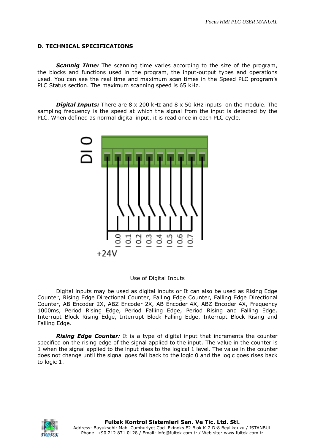#### **D. TECHNICAL SPECIFICATIONS**

**Scannig Time:** The scanning time varies according to the size of the program, the blocks and functions used in the program, the input-output types and operations used. You can see the real time and maximum scan times in the Speed PLC program's PLC Status section. The maximum scanning speed is 65 kHz.

*Digital Inputs:* There are 8 x 200 kHz and 8 x 50 kHz inputs on the module. The sampling frequency is the speed at which the signal from the input is detected by the PLC. When defined as normal digital input, it is read once in each PLC cycle.



### Use of Digital Inputs

Digital inputs may be used as digital inputs or It can also be used as Rising Edge Counter, Rising Edge Directional Counter, Falling Edge Counter, Falling Edge Directional Counter, AB Encoder 2X, ABZ Encoder 2X, AB Encoder 4X, ABZ Encoder 4X, Frequency 1000ms, Period Rising Edge, Period Falling Edge, Period Rising and Falling Edge, Interrupt Block Rising Edge, Interrupt Block Falling Edge, Interrupt Block Rising and Falling Edge.

*Rising Edge Counter:* It is a type of digital input that increments the counter specified on the rising edge of the signal applied to the input. The value in the counter is 1 when the signal applied to the input rises to the logical 1 level. The value in the counter does not change until the signal goes fall back to the logic 0 and the logic goes rises back to logic 1.

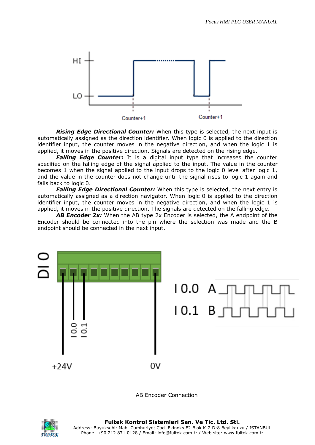

*Rising Edge Directional Counter:* When this type is selected, the next input is automatically assigned as the direction identifier. When logic 0 is applied to the direction identifier input, the counter moves in the negative direction, and when the logic 1 is applied, it moves in the positive direction. Signals are detected on the rising edge.

*Falling Edge Counter:* It is a digital input type that increases the counter specified on the falling edge of the signal applied to the input. The value in the counter becomes 1 when the signal applied to the input drops to the logic 0 level after logic 1, and the value in the counter does not change until the signal rises to logic 1 again and falls back to logic 0.

*Falling Edge Directional Counter:* When this type is selected, the next entry is automatically assigned as a direction navigator. When logic 0 is applied to the direction identifier input, the counter moves in the negative direction, and when the logic 1 is applied, it moves in the positive direction. The signals are detected on the falling edge.

*AB Encoder 2x:* When the AB type 2x Encoder is selected, the A endpoint of the Encoder should be connected into the pin where the selection was made and the B endpoint should be connected in the next input.



AB Encoder Connection

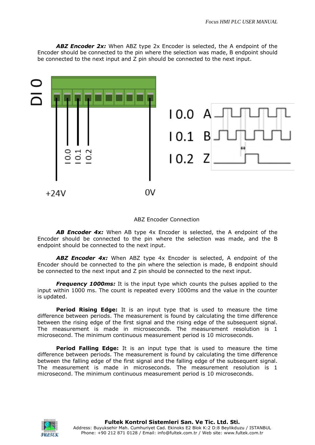*ABZ Encoder 2x:* When ABZ type 2x Encoder is selected, the A endpoint of the Encoder should be connected to the pin where the selection was made, B endpoint should be connected to the next input and Z pin should be connected to the next input.





AB **Encoder 4x:** When AB type 4x Encoder is selected, the A endpoint of the Encoder should be connected to the pin where the selection was made, and the B endpoint should be connected to the next input.

*ABZ Encoder 4x:* When ABZ type 4x Encoder is selected, A endpoint of the Encoder should be connected to the pin where the selection is made, B endpoint should be connected to the next input and Z pin should be connected to the next input.

**Frequency 1000ms:** It is the input type which counts the pulses applied to the input within 1000 ms. The count is repeated every 1000ms and the value in the counter is updated.

**Period Rising Edge:** It is an input type that is used to measure the time difference between periods. The measurement is found by calculating the time difference between the rising edge of the first signal and the rising edge of the subsequent signal. The measurement is made in microseconds. The measurement resolution is 1 microsecond. The minimum continuous measurement period is 10 microseconds.

**Period Falling Edge:** It is an input type that is used to measure the time difference between periods. The measurement is found by calculating the time difference between the falling edge of the first signal and the falling edge of the subsequent signal. The measurement is made in microseconds. The measurement resolution is 1 microsecond. The minimum continuous measurement period is 10 microseconds.

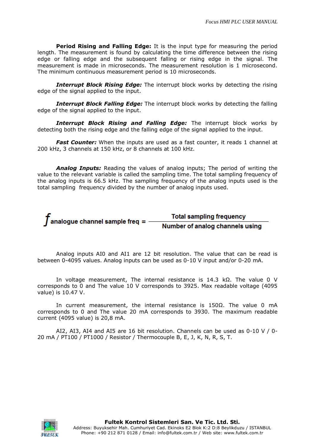**Period Rising and Falling Edge:** It is the input type for measuring the period length. The measurement is found by calculating the time difference between the rising edge or falling edge and the subsequent falling or rising edge in the signal. The measurement is made in microseconds. The measurement resolution is 1 microsecond. The minimum continuous measurement period is 10 microseconds.

**Interrupt Block Rising Edge:** The interrupt block works by detecting the rising edge of the signal applied to the input.

**Interrupt Block Falling Edge:** The interrupt block works by detecting the falling edge of the signal applied to the input.

*Interrupt Block Rising and Falling Edge:* The interrupt block works by detecting both the rising edge and the falling edge of the signal applied to the input.

*Fast Counter:* When the inputs are used as a fast counter, it reads 1 channel at 200 kHz, 3 channels at 150 kHz, or 8 channels at 100 kHz.

*Analog Inputs:* Reading the values of analog inputs; The period of writing the value to the relevant variable is called the sampling time. The total sampling frequency of the analog inputs is 66.5 kHz. The sampling frequency of the analog inputs used is the total sampling frequency divided by the number of analog inputs used.



**Total sampling frequency** Number of analog channels using

Analog inputs AI0 and AI1 are 12 bit resolution. The value that can be read is between 0-4095 values. Analog inputs can be used as 0-10 V input and/or 0-20 mA.

In voltage measurement, The internal resistance is 14.3 kΩ. The value 0 V corresponds to 0 and The value 10 V corresponds to 3925. Max readable voltage (4095 value) is 10.47 V.

In current measurement, the internal resistance is 150Ω. The value 0 mA corresponds to 0 and The value 20 mA corresponds to 3930. The maximum readable current (4095 value) is 20,8 mA.

AI2, AI3, AI4 and AI5 are 16 bit resolution. Channels can be used as 0-10 V / 0- 20 mA / PT100 / PT1000 / Resistor / Thermocouple B, E, J, K, N, R, S, T.

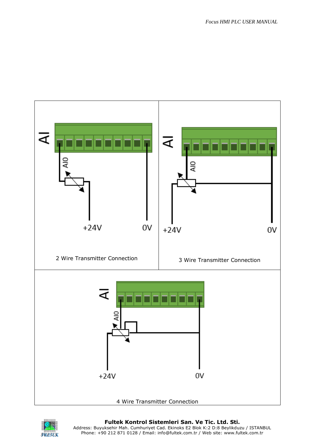

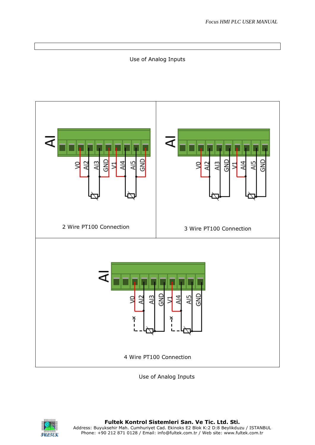## Use of Analog Inputs



Use of Analog Inputs

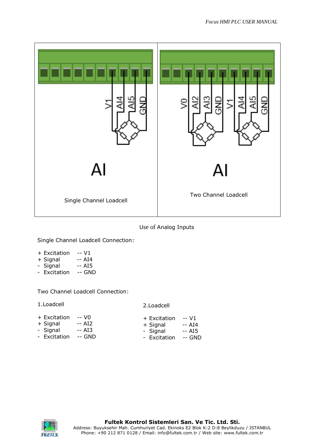

Use of Analog Inputs

Single Channel Loadcell Connection:

- + Excitation -- V1
- + Signal -- AI4<br>- Signal -- AI5
- Signal -- AI5<br>- Excitation -- GND
- Excitation

Two Channel Loadcell Connection:

#### 2.Loadcell

| + Excitation | -- VO   | + Excitation | -- V1   |
|--------------|---------|--------------|---------|
| + Signal     | -- AI2  | + Signal     | $-$ AI4 |
| - Signal     | $-$ AI3 | - Signal     | -- AI5  |
| - Excitation | -- GND  | - Excitation | -- GND  |

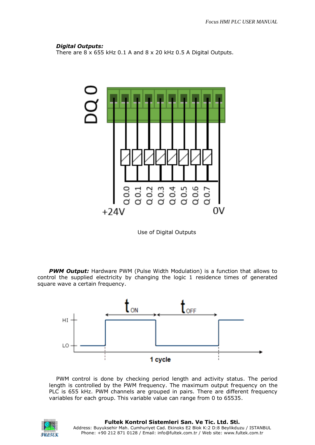### *Digital Outputs:*

There are 8 x 655 kHz 0.1 A and 8 x 20 kHz 0.5 A Digital Outputs.



Use of Digital Outputs

*PWM Output:* Hardware PWM (Pulse Width Modulation) is a function that allows to control the supplied electricity by changing the logic 1 residence times of generated square wave a certain frequency.



PWM control is done by checking period length and activity status. The period length is controlled by the PWM frequency. The maximum output frequency on the PLC is 655 kHz. PWM channels are grouped in pairs. There are different frequency variables for each group. This variable value can range from 0 to 65535.

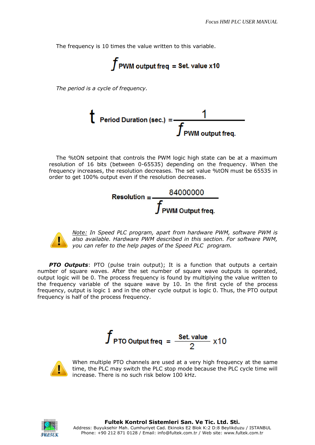The frequency is 10 times the value written to this variable.

$$
f_{\rm PWM\ output\ freq} = \text{Set.}\ value\ x10
$$

*The period is a cycle of frequency.*



The %tON setpoint that controls the PWM logic high state can be at a maximum resolution of 16 bits (between 0-65535) depending on the frequency. When the frequency increases, the resolution decreases. The set value %tON must be 65535 in order to get 100% output even if the resolution decreases.





*Note: In Speed PLC program, apart from hardware PWM, software PWM is also available. Hardware PWM described in this section. For software PWM, you can refer to the help pages of the Speed PLC program.*

**PTO Outputs:** PTO (pulse train output); It is a function that outputs a certain number of square waves. After the set number of square wave outputs is operated, output logic will be 0. The process frequency is found by multiplying the value written to the frequency variable of the square wave by 10. In the first cycle of the process frequency, output is logic 1 and in the other cycle output is logic 0. Thus, the PTO output frequency is half of the process frequency.

$$
f_{\text{PTO Output freq}} = \frac{\text{Set. value}}{2} \times 10
$$



When multiple PTO channels are used at a very high frequency at the same time, the PLC may switch the PLC stop mode because the PLC cycle time will increase. There is no such risk below 100 kHz.

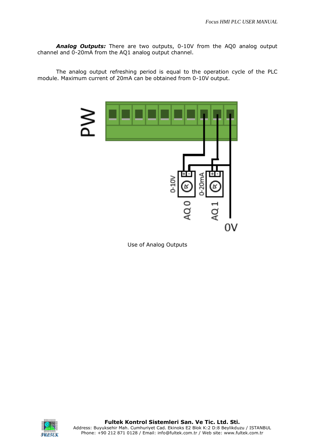*Analog Outputs:* There are two outputs, 0-10V from the AQ0 analog output channel and 0-20mA from the AQ1 analog output channel.

The analog output refreshing period is equal to the operation cycle of the PLC module. Maximum current of 20mA can be obtained from 0-10V output.







**Fultek Kontrol Sistemleri San. Ve Tic. Ltd. Sti.** Address: Buyuksehir Mah. Cumhuriyet Cad. Ekinoks E2 Blok K:2 D:8 Beylikduzu / ISTANBUL Phone: +90 212 871 0128 / Email: info@fultek.com.tr / Web site: www.fultek.com.tr